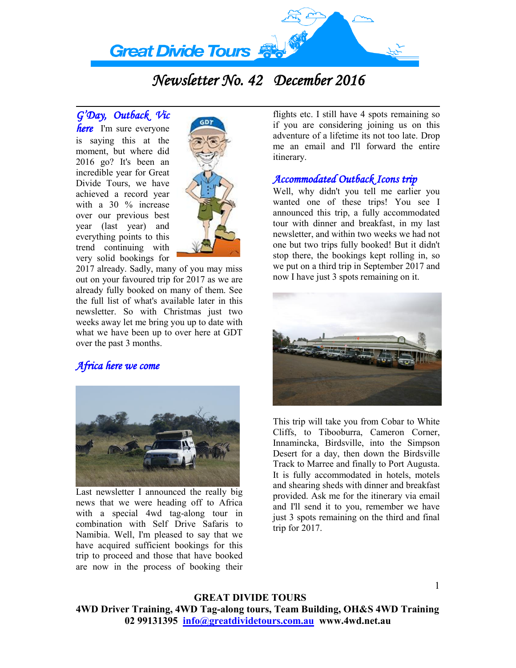

# *Newsletter No. 42 December 2016*

*G'Day, Outback Vic here* I'm sure everyone is saying this at the moment, but where did 2016 go? It's been an incredible year for Great Divide Tours, we have achieved a record year with a 30 % increase over our previous best year (last year) and everything points to this trend continuing with very solid bookings for



2017 already. Sadly, many of you may miss out on your favoured trip for 2017 as we are already fully booked on many of them. See the full list of what's available later in this newsletter. So with Christmas just two weeks away let me bring you up to date with what we have been up to over here at GDT over the past 3 months.

# *Africa here we come*



Last newsletter I announced the really big news that we were heading off to Africa with a special 4wd tag-along tour in combination with Self Drive Safaris to Namibia. Well, I'm pleased to say that we have acquired sufficient bookings for this trip to proceed and those that have booked are now in the process of booking their

flights etc. I still have 4 spots remaining so if you are considering joining us on this adventure of a lifetime its not too late. Drop me an email and I'll forward the entire itinerary.

### *Accommodated Outback Icons trip*

Well, why didn't you tell me earlier you wanted one of these trips! You see I announced this trip, a fully accommodated tour with dinner and breakfast, in my last newsletter, and within two weeks we had not one but two trips fully booked! But it didn't stop there, the bookings kept rolling in, so we put on a third trip in September 2017 and now I have just 3 spots remaining on it.



This trip will take you from Cobar to White Cliffs, to Tibooburra, Cameron Corner, Innamincka, Birdsville, into the Simpson Desert for a day, then down the Birdsville Track to Marree and finally to Port Augusta. It is fully accommodated in hotels, motels and shearing sheds with dinner and breakfast provided. Ask me for the itinerary via email and I'll send it to you, remember we have just 3 spots remaining on the third and final trip for 2017.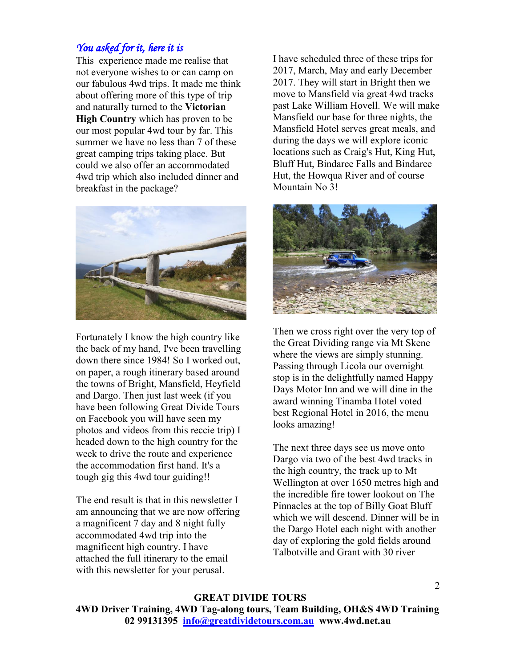# *You asked for it, here it is*

This experience made me realise that not everyone wishes to or can camp on our fabulous 4wd trips. It made me think about offering more of this type of trip and naturally turned to the **Victorian High Country** which has proven to be our most popular 4wd tour by far. This summer we have no less than 7 of these great camping trips taking place. But could we also offer an accommodated 4wd trip which also included dinner and breakfast in the package?



Fortunately I know the high country like the back of my hand, I've been travelling down there since 1984! So I worked out, on paper, a rough itinerary based around the towns of Bright, Mansfield, Heyfield and Dargo. Then just last week (if you have been following Great Divide Tours on Facebook you will have seen my photos and videos from this reccie trip) I headed down to the high country for the week to drive the route and experience the accommodation first hand. It's a tough gig this 4wd tour guiding!!

The end result is that in this newsletter I am announcing that we are now offering a magnificent 7 day and 8 night fully accommodated 4wd trip into the magnificent high country. I have attached the full itinerary to the email with this newsletter for your perusal.

I have scheduled three of these trips for 2017, March, May and early December 2017. They will start in Bright then we move to Mansfield via great 4wd tracks past Lake William Hovell. We will make Mansfield our base for three nights, the Mansfield Hotel serves great meals, and during the days we will explore iconic locations such as Craig's Hut, King Hut, Bluff Hut, Bindaree Falls and Bindaree Hut, the Howqua River and of course Mountain No 3!



Then we cross right over the very top of the Great Dividing range via Mt Skene where the views are simply stunning. Passing through Licola our overnight stop is in the delightfully named Happy Days Motor Inn and we will dine in the award winning Tinamba Hotel voted best Regional Hotel in 2016, the menu looks amazing!

The next three days see us move onto Dargo via two of the best 4wd tracks in the high country, the track up to Mt Wellington at over 1650 metres high and the incredible fire tower lookout on The Pinnacles at the top of Billy Goat Bluff which we will descend. Dinner will be in the Dargo Hotel each night with another day of exploring the gold fields around Talbotville and Grant with 30 river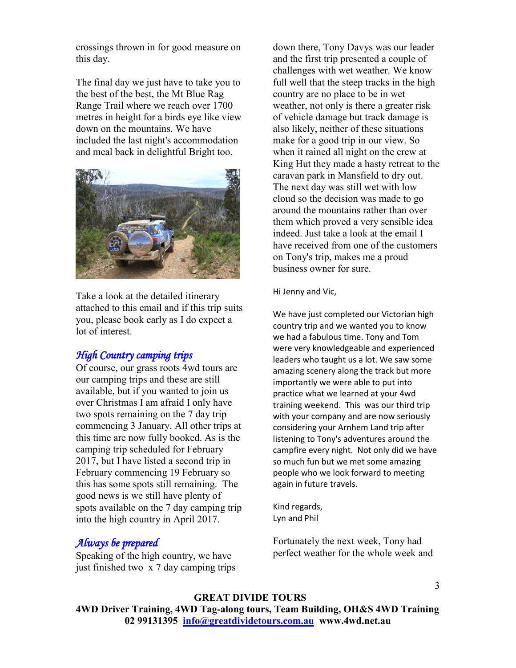crossings thrown in for good measure on this day.

The final day we just have to take you to the best of the best, the Mt Blue Rag Range Trail where we reach over 1700 metres in height for a birds eye like view down on the mountains. We have included the last night's accommodation and meal back in delightful Bright too.



Take a look at the detailed itinerary attached to this email and if this trip suits you, please book early as I do expect a lot of interest.

# *High Country camping trips*

Of course, our grass roots 4wd tours are our camping trips and these are still available, but if you wanted to join us over Christmas I am afraid I only have two spots remaining on the 7 day trip commencing 3 January. All other trips at this time are now fully booked. As is the camping trip scheduled for February 2017, but I have listed a second trip in February commencing 19 February so this has some spots still remaining. The good news is we still have plenty of spots available on the 7 day camping trip into the high country in April 2017.

# *Always be prepared*

Speaking of the high country, we have just finished two x 7 day camping trips down there, Tony Davys was our leader and the first trip presented a couple of challenges with wet weather. We know full well that the steep tracks in the high country are no place to be in wet weather, not only is there a greater risk of vehicle damage but track damage is also likely, neither of these situations make for a good trip in our view. So when it rained all night on the crew at King Hut they made a hasty retreat to the caravan park in Mansfield to dry out. The next day was still wet with low cloud so the decision was made to go around the mountains rather than over them which proved a very sensible idea indeed. Just take a look at the email I have received from one of the customers on Tony's trip, makes me a proud business owner for sure.

#### Hi Jenny and Vic,

We have just completed our Victorian high country trip and we wanted you to know we had a fabulous time. Tony and Tom were very knowledgeable and experienced leaders who taught us a lot. We saw some amazing scenery along the track but more importantly we were able to put into practice what we learned at your 4wd training weekend. This was our third trip with your company and are now seriously considering your Arnhem Land trip after listening to Tony's adventures around the campfire every night. Not only did we have so much fun but we met some amazing people who we look forward to meeting again in future travels.

Kind regards, Lyn and Phil

Fortunately the next week, Tony had perfect weather for the whole week and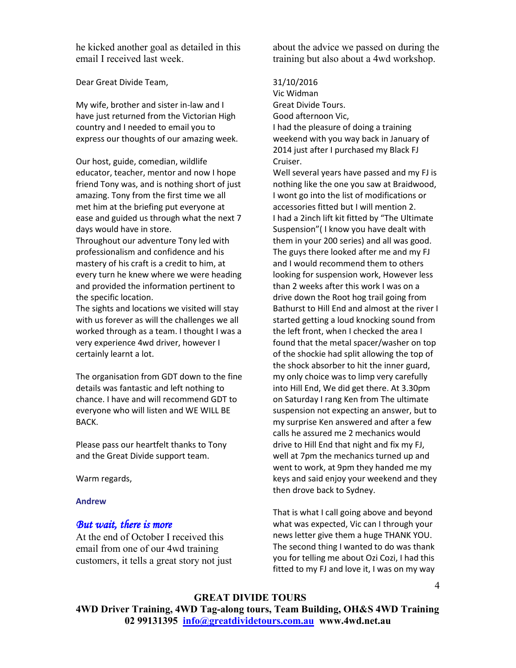he kicked another goal as detailed in this email I received last week.

Dear Great Divide Team,

My wife, brother and sister in-law and I have just returned from the Victorian High country and I needed to email you to express our thoughts of our amazing week.

Our host, guide, comedian, wildlife educator, teacher, mentor and now I hope friend Tony was, and is nothing short of just amazing. Tony from the first time we all met him at the briefing put everyone at ease and guided us through what the next 7 days would have in store.

Throughout our adventure Tony led with professionalism and confidence and his mastery of his craft is a credit to him, at every turn he knew where we were heading and provided the information pertinent to the specific location.

The sights and locations we visited will stay with us forever as will the challenges we all worked through as a team. I thought I was a very experience 4wd driver, however I certainly learnt a lot.

The organisation from GDT down to the fine details was fantastic and left nothing to chance. I have and will recommend GDT to everyone who will listen and WE WILL BE BACK.

Please pass our heartfelt thanks to Tony and the Great Divide support team.

Warm regards,

#### **Andrew**

#### *But wait, there is more*

At the end of October I received this email from one of our 4wd training customers, it tells a great story not just about the advice we passed on during the training but also about a 4wd workshop.

#### 31/10/2016

Vic Widman Great Divide Tours. Good afternoon Vic, I had the pleasure of doing a training weekend with you way back in January of 2014 just after I purchased my Black FJ Cruiser.

Well several years have passed and my FJ is nothing like the one you saw at Braidwood, I wont go into the list of modifications or accessories fitted but I will mention 2. I had a 2inch lift kit fitted by "The Ultimate Suspension"( I know you have dealt with them in your 200 series) and all was good. The guys there looked after me and my FJ and I would recommend them to others looking for suspension work, However less than 2 weeks after this work I was on a drive down the Root hog trail going from Bathurst to Hill End and almost at the river I started getting a loud knocking sound from the left front, when I checked the area I found that the metal spacer/washer on top of the shockie had split allowing the top of the shock absorber to hit the inner guard, my only choice was to limp very carefully into Hill End, We did get there. At 3.30pm on Saturday I rang Ken from The ultimate suspension not expecting an answer, but to my surprise Ken answered and after a few calls he assured me 2 mechanics would drive to Hill End that night and fix my FJ, well at 7pm the mechanics turned up and went to work, at 9pm they handed me my keys and said enjoy your weekend and they then drove back to Sydney.

That is what I call going above and beyond what was expected, Vic can I through your news letter give them a huge THANK YOU. The second thing I wanted to do was thank you for telling me about Ozi Cozi, I had this fitted to my FJ and love it, I was on my way

# **GREAT DIVIDE TOURS**

**4WD Driver Training, 4WD Tag-along tours, Team Building, OH&S 4WD Training 02 99131395 info@greatdividetours.com.au www.4wd.net.au**

4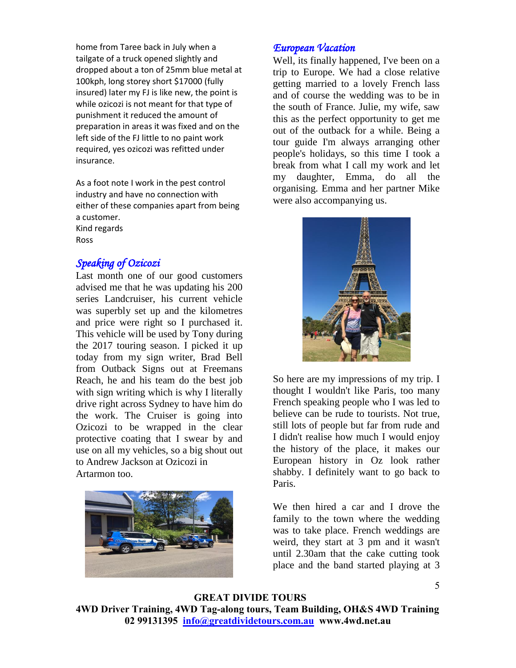home from Taree back in July when a tailgate of a truck opened slightly and dropped about a ton of 25mm blue metal at 100kph, long storey short \$17000 (fully insured) later my FJ is like new, the point is while ozicozi is not meant for that type of punishment it reduced the amount of preparation in areas it was fixed and on the left side of the FJ little to no paint work required, yes ozicozi was refitted under insurance.

As a foot note I work in the pest control industry and have no connection with either of these companies apart from being a customer. Kind regards Ross

# *Speaking of Ozicozi*

Last month one of our good customers advised me that he was updating his 200 series Landcruiser, his current vehicle was superbly set up and the kilometres and price were right so I purchased it. This vehicle will be used by Tony during the 2017 touring season. I picked it up today from my sign writer, Brad Bell from Outback Signs out at Freemans Reach, he and his team do the best job with sign writing which is why I literally drive right across Sydney to have him do the work. The Cruiser is going into Ozicozi to be wrapped in the clear protective coating that I swear by and use on all my vehicles, so a big shout out to Andrew Jackson at Ozicozi in Artarmon too.



# *European Vacation*

Well, its finally happened, I've been on a trip to Europe. We had a close relative getting married to a lovely French lass and of course the wedding was to be in the south of France. Julie, my wife, saw this as the perfect opportunity to get me out of the outback for a while. Being a tour guide I'm always arranging other people's holidays, so this time I took a break from what I call my work and let my daughter, Emma, do all the organising. Emma and her partner Mike were also accompanying us.



So here are my impressions of my trip. I thought I wouldn't like Paris, too many French speaking people who I was led to believe can be rude to tourists. Not true, still lots of people but far from rude and I didn't realise how much I would enjoy the history of the place, it makes our European history in Oz look rather shabby. I definitely want to go back to Paris.

We then hired a car and I drove the family to the town where the wedding was to take place. French weddings are weird, they start at 3 pm and it wasn't until 2.30am that the cake cutting took place and the band started playing at 3

**GREAT DIVIDE TOURS 4WD Driver Training, 4WD Tag-along tours, Team Building, OH&S 4WD Training 02 99131395 info@greatdividetours.com.au www.4wd.net.au**

5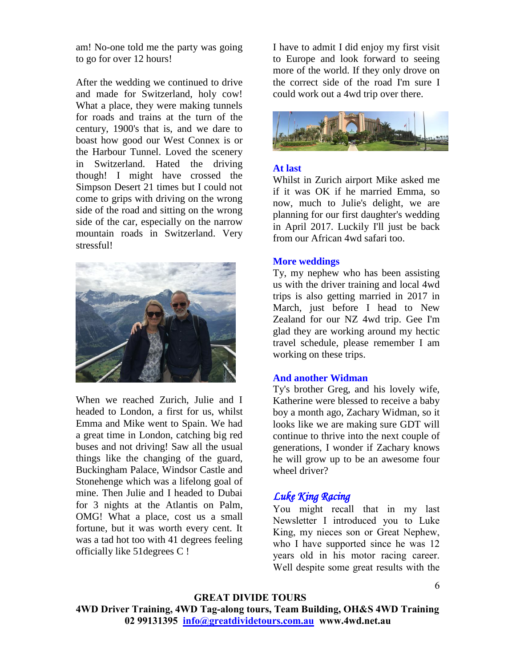am! No-one told me the party was going to go for over 12 hours!

After the wedding we continued to drive and made for Switzerland, holy cow! What a place, they were making tunnels for roads and trains at the turn of the century, 1900's that is, and we dare to boast how good our West Connex is or the Harbour Tunnel. Loved the scenery in Switzerland. Hated the driving though! I might have crossed the Simpson Desert 21 times but I could not come to grips with driving on the wrong side of the road and sitting on the wrong side of the car, especially on the narrow mountain roads in Switzerland. Very stressful!



When we reached Zurich, Julie and I headed to London, a first for us, whilst Emma and Mike went to Spain. We had a great time in London, catching big red buses and not driving! Saw all the usual things like the changing of the guard, Buckingham Palace, Windsor Castle and Stonehenge which was a lifelong goal of mine. Then Julie and I headed to Dubai for 3 nights at the Atlantis on Palm, OMG! What a place, cost us a small fortune, but it was worth every cent. It was a tad hot too with 41 degrees feeling officially like 51degrees C !

I have to admit I did enjoy my first visit to Europe and look forward to seeing more of the world. If they only drove on the correct side of the road I'm sure I could work out a 4wd trip over there.



#### **At last**

Whilst in Zurich airport Mike asked me if it was OK if he married Emma, so now, much to Julie's delight, we are planning for our first daughter's wedding in April 2017. Luckily I'll just be back from our African 4wd safari too.

#### **More weddings**

Ty, my nephew who has been assisting us with the driver training and local 4wd trips is also getting married in 2017 in March, just before I head to New Zealand for our NZ 4wd trip. Gee I'm glad they are working around my hectic travel schedule, please remember I am working on these trips.

#### **And another Widman**

Ty's brother Greg, and his lovely wife, Katherine were blessed to receive a baby boy a month ago, Zachary Widman, so it looks like we are making sure GDT will continue to thrive into the next couple of generations, I wonder if Zachary knows he will grow up to be an awesome four wheel driver?

# *Luke King Racing*

You might recall that in my last Newsletter I introduced you to Luke King, my nieces son or Great Nephew, who I have supported since he was 12 years old in his motor racing career. Well despite some great results with the

# **GREAT DIVIDE TOURS**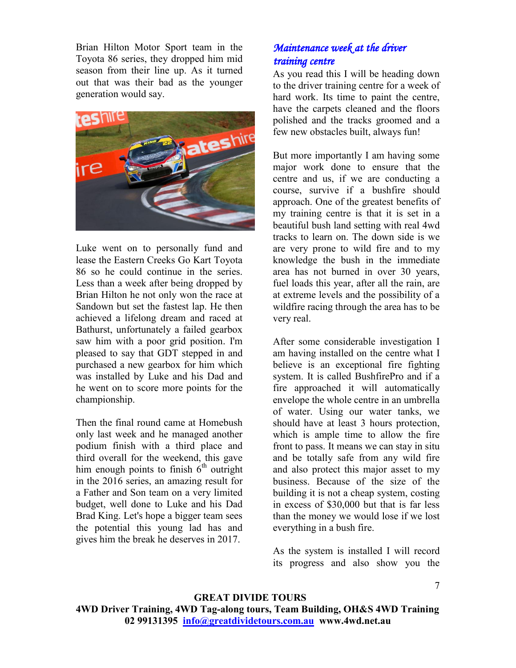Brian Hilton Motor Sport team in the Toyota 86 series, they dropped him mid season from their line up. As it turned out that was their bad as the younger generation would say.



Luke went on to personally fund and lease the Eastern Creeks Go Kart Toyota 86 so he could continue in the series. Less than a week after being dropped by Brian Hilton he not only won the race at Sandown but set the fastest lap. He then achieved a lifelong dream and raced at Bathurst, unfortunately a failed gearbox saw him with a poor grid position. I'm pleased to say that GDT stepped in and purchased a new gearbox for him which was installed by Luke and his Dad and he went on to score more points for the championship.

Then the final round came at Homebush only last week and he managed another podium finish with a third place and third overall for the weekend, this gave him enough points to finish  $6<sup>th</sup>$  outright in the 2016 series, an amazing result for a Father and Son team on a very limited budget, well done to Luke and his Dad Brad King. Let's hope a bigger team sees the potential this young lad has and gives him the break he deserves in 2017.

# *Maintenance week at the driver training centre*

As you read this I will be heading down to the driver training centre for a week of hard work. Its time to paint the centre, have the carpets cleaned and the floors polished and the tracks groomed and a few new obstacles built, always fun!

But more importantly I am having some major work done to ensure that the centre and us, if we are conducting a course, survive if a bushfire should approach. One of the greatest benefits of my training centre is that it is set in a beautiful bush land setting with real 4wd tracks to learn on. The down side is we are very prone to wild fire and to my knowledge the bush in the immediate area has not burned in over 30 years, fuel loads this year, after all the rain, are at extreme levels and the possibility of a wildfire racing through the area has to be very real.

After some considerable investigation I am having installed on the centre what I believe is an exceptional fire fighting system. It is called BushfirePro and if a fire approached it will automatically envelope the whole centre in an umbrella of water. Using our water tanks, we should have at least 3 hours protection, which is ample time to allow the fire front to pass. It means we can stay in situ and be totally safe from any wild fire and also protect this major asset to my business. Because of the size of the building it is not a cheap system, costing in excess of \$30,000 but that is far less than the money we would lose if we lost everything in a bush fire.

As the system is installed I will record its progress and also show you the